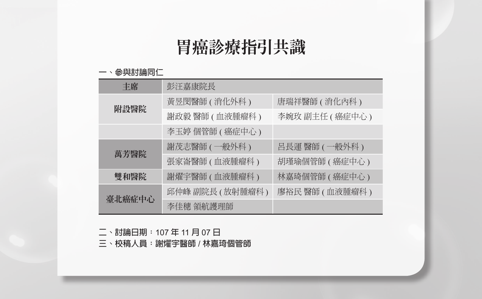# 胃癌診療指引共識

#### **一、參與討論同仁**

| 丰席     | 彭汪嘉康院長           |                 |
|--------|------------------|-----------------|
|        | 黃昱閔醫師 ( 消化外科 )   | 唐瑞祥醫師 ( 消化內科 )  |
| 附設醫院   | 謝政毅 醫師 (血液腫瘤科)   | 李婉玫 副主任 (癌症中心)  |
|        | 李玉婷 個管師 ( 癌症中心 ) |                 |
|        | 謝茂志醫師 ( 一般外科 )   | 呂長運 醫師 (一般外科)   |
| 萬芳醫院   | 張家崙醫師 ( 血液腫瘤科 )  | 胡瑾瑜個管師 ( 癌症中心 ) |
| 雙和醫院   | 謝燿宇醫師 ( 血液腫瘤科 )  | 林嘉琦個管師 ( 癌症中心 ) |
| 臺北癌症中心 | 邱仲峰 副院長 (放射腫瘤科)  | 廖裕民醫師(血液腫瘤科)    |
|        | 李佳穗 領航護理師        |                 |

**二、討論日期:**107 **年** 11 **月** 07 **日**

**三、校稿人員:謝燿宇醫師** / **林嘉琦個管師**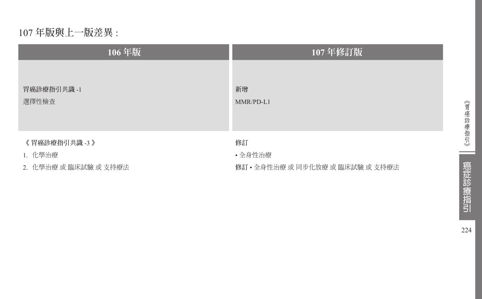# 107 **年版與上一版差異** :

| 106年版                 | 107年修訂版                          |
|-----------------------|----------------------------------|
| 胃癌診療指引共識-1            | 新增                               |
| 選擇性檢查                 | $MMR/PD-L1$                      |
| 《 胃癌診療指引共識 -3 》       | 修訂                               |
| 1. 化學治療               | ·全身性治療                           |
| 2. 化學治療 或 臨床試驗 或 支持療法 | 修訂 • 全身性治療 或 同步化放療 或 臨床試驗 或 支持療法 |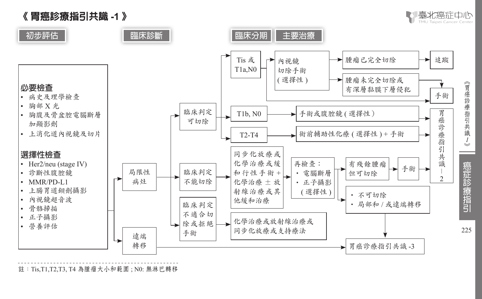



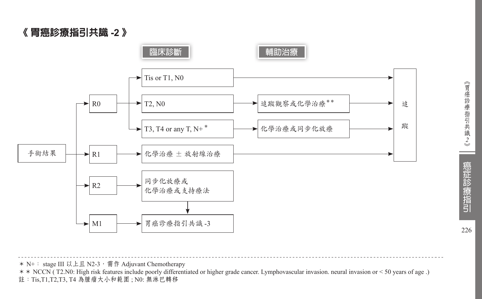《 胃癌診療指引共識 **-2** 》



226

\* N+: stage III 以上且 N2-3, 需作 Adjuvant Chemotherapy

\*\* NCCN ( T2.N0: High risk features include poorly differentiated or higher grade cancer. Lymphovascular invasion. neural invasion or < 50 years of age .) 註:Tis,T1,T2,T3, T4 為腫瘤大小和範圍 ; N0: 無淋巴轉移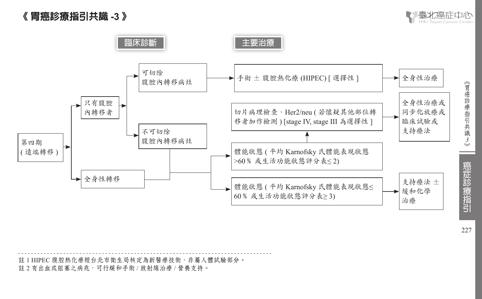# 《 胃癌診療指引共識 **-3** 》





註 1 HIPEC 腹腔熱化療經台北市衛生局核定為新醫療技術,非屬人體試驗部分。 註 2 有出血或阻塞之病兆,可行緩和手術 / 放射線治療 / 營養支持。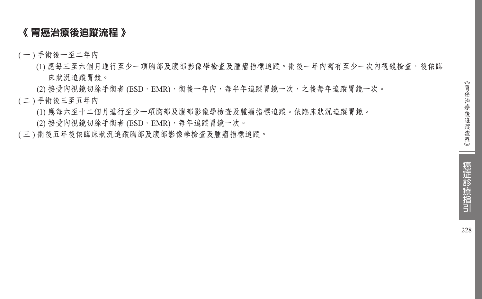#### 《 胃癌治療後追蹤流程 》

- ( 一 ) 手術後一至二年內
	- (1) 應每三至六個月進行至少一項胸部及腹部影像學檢查及腫瘤指標追蹤。術後一年內需有至少一次內視鏡檢查,後依臨 床狀況追蹤胃鏡。
	- (2) 接受內視鏡切除手術者 (ESD、EMR), 術後一年內, 每半年追蹤胃鏡一次, 之後每年追蹤胃鏡一次。
- ( 二 ) 手術後三至五年內
	- (1) 應每六至十二個月進行至少一項胸部及腹部影像學檢查及腫瘤指標追蹤。依臨床狀況追蹤胃鏡。
	- (2) 接受內視鏡切除手術者 (ESD、EMR),每年追蹤胃鏡一次。
- ( 三 ) 術後五年後依臨床狀況追蹤胸部及腹部影像學檢查及腫瘤指標追蹤。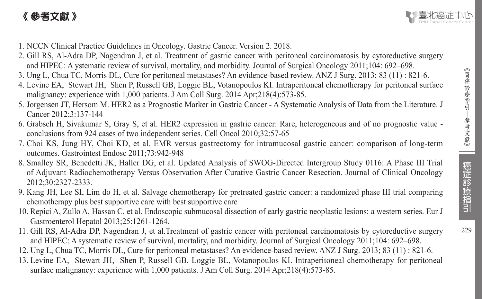# 《 參考文獻 》



- 1. NCCN Clinical Practice Guidelines in Oncology. Gastric Cancer. Version 2. 2018.
- 2. Gill RS, Al-Adra DP, Nagendran J, et al. Treatment of gastric cancer with peritoneal carcinomatosis by cytoreductive surgery and HIPEC: A ystematic review of survival, mortality, and morbidity. Journal of Surgical Oncology 2011;104: 692–698.
- 3. Ung L, Chua TC, Morris DL, Cure for peritoneal metastases? An evidence-based review. ANZ J Surg. 2013; 83 (11) : 821-6.
- 4. Levine EA, Stewart JH, Shen P, Russell GB, Loggie BL, Votanopoulos KI. Intraperitoneal chemotherapy for peritoneal surface malignancy: experience with 1,000 patients. J Am Coll Surg. 2014 Apr;218(4):573-85.
- 5. Jorgensen JT, Hersom M. HER2 as a Prognostic Marker in Gastric Cancer A Systematic Analysis of Data from the Literature. J Cancer 2012;3:137-144
- 6. Grabsch H, Sivakumar S, Gray S, et al. HER2 expression in gastric cancer: Rare, heterogeneous and of no prognostic value conclusions from 924 cases of two independent series. Cell Oncol 2010;32:57-65
- 7. Choi KS, Jung HY, Choi KD, et al. EMR versus gastrectomy for intramucosal gastric cancer: comparison of long-term outcomes. Gastrointest Endosc 2011;73:942-948
- 8. Smalley SR, Benedetti JK, Haller DG, et al. Updated Analysis of SWOG-Directed Intergroup Study 0116: A Phase III Trial of Adjuvant Radiochemotherapy Versus Observation After Curative Gastric Cancer Resection. Journal of Clinical Oncology 2012;30:2327-2333.
- 9. Kang JH, Lee SI, Lim do H, et al. Salvage chemotherapy for pretreated gastric cancer: a randomized phase III trial comparing chemotherapy plus best supportive care with best supportive care
- 10. Repici A, Zullo A, Hassan C, et al. Endoscopic submucosal dissection of early gastric neoplastic lesions: a western series. Eur J Gastroenterol Hepatol 2013;25:1261-1264.
- 11. Gill RS, Al-Adra DP, Nagendran J, et al.Treatment of gastric cancer with peritoneal carcinomatosis by cytoreductive surgery and HIPEC: A systematic review of survival, mortality, and morbidity. Journal of Surgical Oncology 2011;104: 692–698.
- 12. Ung L, Chua TC, Morris DL, Cure for peritoneal metastases? An evidence-based review. ANZ J Surg. 2013; 83 (11) : 821-6.
- 13. Levine EA, Stewart JH, Shen P, Russell GB, Loggie BL, Votanopoulos KI. Intraperitoneal chemotherapy for peritoneal surface malignancy: experience with 1,000 patients. J Am Coll Surg. 2014 Apr;218(4):573-85.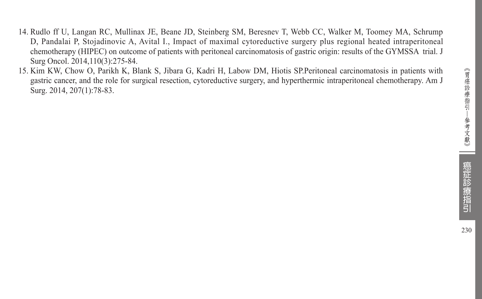- 14. Rudlo ff U, Langan RC, Mullinax JE, Beane JD, Steinberg SM, Beresnev T, Webb CC, Walker M, Toomey MA, Schrump D, Pandalai P, Stojadinovic A, Avital I., Impact of maximal cytoreductive surgery plus regional heated intraperitoneal chemotherapy (HIPEC) on outcome of patients with peritoneal carcinomatosis of gastric origin: results of the GYMSSA trial. J Surg Oncol. 2014,110(3):275-84.
- 15. Kim KW, Chow O, Parikh K, Blank S, Jibara G, Kadri H, Labow DM, Hiotis SP.Peritoneal carcinomatosis in patients with gastric cancer, and the role for surgical resection, cytoreductive surgery, and hyperthermic intraperitoneal chemotherapy. Am J Surg. 2014, 207(1):78-83.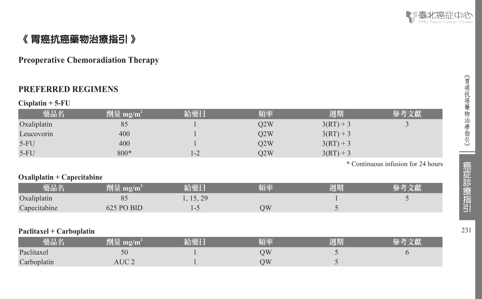

# 《 胃癌抗癌藥物治療指引 》

#### **Preoperative Chemoradiation Therapy**

#### **PREFERRED REGIMENS**

#### **Cisplatin + 5-FU**

| 藥品名                         | 劑量 mg/m <sup>2</sup> | 給藥日       | 頻率  | 週期          | 參考文獻                               |
|-----------------------------|----------------------|-----------|-----|-------------|------------------------------------|
| Oxaliplatin                 | 85                   |           | Q2W | $3(RT) + 3$ | $\mathfrak{I}$                     |
| Leucovorin                  | 400                  |           | Q2W | $3(RT) + 3$ |                                    |
| $5-FU$                      | 400                  |           | Q2W | $3(RT) + 3$ |                                    |
| $5-FU$                      | $800*$               | $1 - 2$   | Q2W | $3(RT) + 3$ |                                    |
|                             |                      |           |     |             | * Continuous infusion for 24 hours |
| $Oxaliplatin + Capecitable$ |                      |           |     |             |                                    |
| 藥品名                         | 劑量 mg/m <sup>2</sup> | 給藥日       | 頻率  | 週期          | 參考文獻                               |
| Oxaliplatin                 | 85                   | 1, 15, 29 |     |             | 5                                  |
| Capecitabine                | 625 PO BID           | $1 - 5$   | QW  | 5           |                                    |
|                             |                      |           |     |             |                                    |
| Paclitaxel + Carboplatin    |                      |           |     |             |                                    |
| 藥品名                         | 劑量 mg/m <sup>2</sup> | 給藥日       | 頻率  | 週期          | 參考文獻                               |
| Paclitaxel                  | 50                   |           | QW  | 5           | 6                                  |
| Carboplatin                 | AUC <sub>2</sub>     |           | QW  |             |                                    |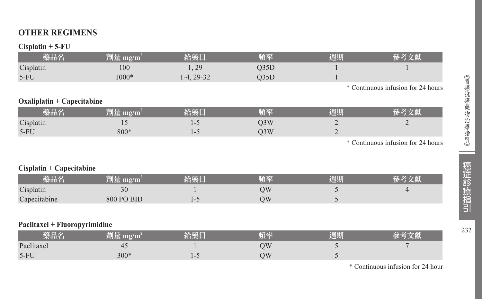# **OTHER REGIMENS**

#### **Cisplatin + 5-FU**

| 藥品名                          | 劑量 mg/m <sup>2</sup> | 給藥日          | 頻率               | 週期 | 參考文獻                               |
|------------------------------|----------------------|--------------|------------------|----|------------------------------------|
| Cisplatin                    | 100                  | 1, 29        | Q35D             |    |                                    |
| $5-FU$                       | $1000*$              | $1-4, 29-32$ | Q35D             |    |                                    |
|                              |                      |              |                  |    | * Continuous infusion for 24 hours |
| $Oxaliplatin + Capecitabine$ |                      |              |                  |    |                                    |
| 藥品名                          | 劑量 mg/m <sup>2</sup> | 給藥日          | 頻率               | 週期 | 參考文獻                               |
| Cisplatin                    | 15                   | $1 - 5$      | Q <sub>3</sub> W |    |                                    |
| $5-FU$                       | $800*$               | $1 - 5$      | O <sub>3</sub> W |    |                                    |
|                              |                      |              |                  |    | * Continuous infusion for 24 hours |
|                              |                      |              |                  |    |                                    |
|                              |                      |              |                  |    |                                    |

#### **Cisplatin + Capecitabine**

| 藥品名          | 劑量 mg/m'   | 外壺口 | 陌來 | 週期 |  |
|--------------|------------|-----|----|----|--|
| Cisplatin    | υc         |     | ìИ |    |  |
| Capecitabine | 800 PO BID |     | )W |    |  |

#### **Paclitaxel + Fluoropyrimidine**

| 樂品名        | mg/m<br>判車  | 給藥日 | 頻率 | 週期 |  |
|------------|-------------|-----|----|----|--|
| Paclitaxel | 4<br>$\sim$ |     | ΟW |    |  |
| $5-FU$     | $300*$      |     | OW |    |  |

\* Continuous infusion for 24 hour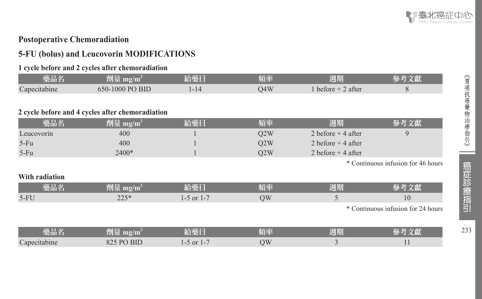#### **Postoperative Chemoradiation**

# **5-FU (bolus) and Leucovorin MODIFICATIONS**

#### **1 cycle before and 2 cycles after chemoradiation**

| 藥品名            | 劑量 mg/m <sup>2</sup>                             | 給藥日            | 頻率  | 週期                  | 參考文獻                               |
|----------------|--------------------------------------------------|----------------|-----|---------------------|------------------------------------|
| Capecitabine   | 650-1000 PO BID                                  | $1 - 14$       | Q4W | 1 before $+2$ after | 8                                  |
|                |                                                  |                |     |                     |                                    |
|                | 2 cycle before and 4 cycles after chemoradiation |                |     |                     |                                    |
| 藥品名            | 劑量 mg/m <sup>2</sup>                             | 給藥日            | 頻率  | 週期                  | 參考文獻                               |
| Leucovorin     | 400                                              |                | Q2W | 2 before $+4$ after | 9                                  |
| $5-Fu$         | 400                                              |                | Q2W | 2 before $+4$ after |                                    |
| $5-Fu$         | 2400*                                            |                | Q2W | 2 before $+4$ after |                                    |
|                |                                                  |                |     |                     | * Continuous infusion for 46 hours |
| With radiation |                                                  |                |     |                     |                                    |
| 藥品名            | $\frac{m}{2}$ mg/m <sup>2</sup>                  | 給藥日            | 頻率  | 週期                  | 參考文獻                               |
| $5-FU$         | $225*$                                           | $1-5$ or $1-7$ | QW  | 5                   | 10                                 |
|                |                                                  |                |     |                     | * Continuous infusion for 24 hours |
|                |                                                  |                |     |                     |                                    |
| 藥品名            | 劑量 mg/m <sup>2</sup>                             | 給藥日            | 頻率  | 週期                  | 參考文獻                               |
| Capecitabine   | 825 PO BID                                       | $1-5$ or $1-7$ | QW  | 3                   | 11                                 |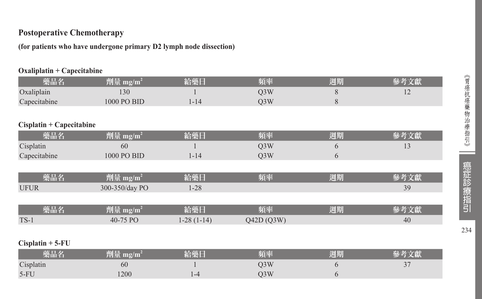## **Postoperative Chemotherapy**

**(for patients who have undergone primary D2 lymph node dissection)**

#### **Oxaliplatin + Capecitabine**

| 藥品名                      | 劑量 mg/m <sup>2</sup> | 給藥日          | 頻率               | 週期        | 參考文獻 |
|--------------------------|----------------------|--------------|------------------|-----------|------|
| Oxaliplain               | 130                  |              | Q <sub>3</sub> W | 8         | 12   |
| Capecitabine             | 1000 PO BID          | $1 - 14$     | Q <sub>3</sub> W | $\,$ $\,$ |      |
|                          |                      |              |                  |           |      |
| Cisplatin + Capecitabine |                      |              |                  |           |      |
| 藥品名                      | 劑量 mg/m <sup>2</sup> | 給藥日          | 頻率               | 週期        | 參考文獻 |
| Cisplatin                | 60                   |              | Q <sub>3</sub> W | 6         | 13   |
| Capecitabine             | 1000 PO BID          | $1 - 14$     | Q <sub>3</sub> W | 6         |      |
|                          |                      |              |                  |           |      |
| 藥品名                      | 劑量 mg/m <sup>2</sup> | 給藥日          | 頻率               | 週期        | 參考文獻 |
| <b>UFUR</b>              | 300-350/day PO       | $1 - 28$     |                  |           | 39   |
|                          |                      |              |                  |           |      |
| 藥品名                      | 劑量 mg/m <sup>2</sup> | 給藥日          | 頻率               | 週期        | 參考文獻 |
| $TS-1$                   | 40-75 PO             | $1-28(1-14)$ | Q42D(Q3W)        |           | 40   |
|                          |                      |              |                  |           |      |
| $Cisplatin + 5-FU$       |                      |              |                  |           |      |

| 樂品彳       | 深山三<br>an di per | 铪藥Ⅰ                  | 陌蒸  | 週期 |  |
|-----------|------------------|----------------------|-----|----|--|
| Cisplatin | 60               |                      | )3W |    |  |
| $5-FU$    | 200              | $-4$<br>$\mathbf{1}$ | J3W |    |  |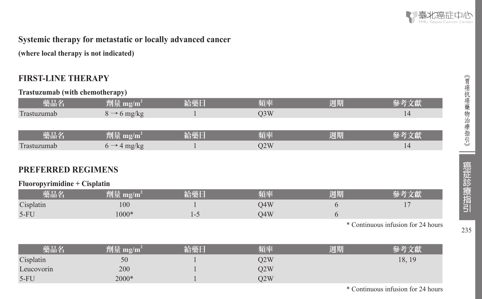

(胃癌抗癌藥物治療指引》 | 癌症診療指引 35

癌症診療指引

235

《胃癌抗癌藥物治療指引》

#### **Systemic therapy for metastatic or locally advanced cancer**

**(where local therapy is not indicated)** 

#### **FIRST-LINE THERAPY**

**Trastuzumab (with chemotherapy)** 

| 藥品名                          | 劑量 mg/m <sup>2</sup>    | 給藥日     | 頻率               | 週期 | 參考文獻                               |
|------------------------------|-------------------------|---------|------------------|----|------------------------------------|
| Trastuzumab                  | $8 \rightarrow 6$ mg/kg |         | Q <sub>3</sub> W |    | 14                                 |
|                              |                         |         |                  |    |                                    |
| 藥品名                          | 劑量 mg/m <sup>2</sup>    | 給藥日     | 頻率               | 週期 | 參考文獻                               |
| Trastuzumab                  | $6 \rightarrow 4$ mg/kg |         | Q2W              |    | 14                                 |
|                              |                         |         |                  |    |                                    |
| <b>PREFERRED REGIMENS</b>    |                         |         |                  |    |                                    |
| Fluoropyrimidine + Cisplatin |                         |         |                  |    |                                    |
| 藥品名                          | 劑量 mg/m <sup>2</sup>    | 給藥日     | 頻率               | 週期 | 參考文獻                               |
| Cisplatin                    | 100                     |         | Q4W              | 6  | 17                                 |
| $5-FU$                       | 1000*                   | $1 - 5$ | Q4W              | 6  |                                    |
|                              |                         |         |                  |    | * Continuous infusion for 24 hours |
|                              |                         |         |                  |    |                                    |
| 藥品名                          | 劑量 mg/m <sup>2</sup>    | 給藥日     | 頻率               | 週期 | 參考文獻                               |
| Cisplatin                    | 50                      |         | Q2W              |    | 18, 19                             |
| Leucovorin                   | 200                     |         | Q2W              |    |                                    |
| $5-FU$                       | 2000*                   |         | Q2W              |    |                                    |

\* Continuous infusion for 24 hours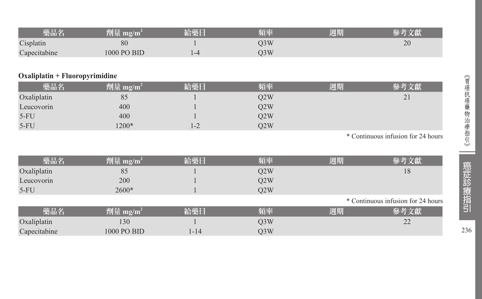| 藥品名          | 刑量          | 給藥日     | 頻率  | 週期 |    |
|--------------|-------------|---------|-----|----|----|
| Cisplatin    | 80          |         | )3W |    | 20 |
| Capecitabine | 1000 PO BID | $1 - 4$ | D3W |    |    |

#### **Oxaliplatin + Fluoropyrimidine**

| 藥品名         | 劑量 mg/m <sup>2</sup> | 給藥日     | 頻率  | 週期 |                   |
|-------------|----------------------|---------|-----|----|-------------------|
| Oxaliplatin | 85                   |         | O2W |    | $\bigcap$ 1<br>∠⊥ |
| Leucovorin  | 400                  |         | O2W |    |                   |
| $5-FU$      | 400                  |         | O2W |    |                   |
| $5-FU$      | $1200*$              | $1 - 2$ | O2W |    |                   |

\* Continuous infusion for 24 hours

| 藥品名          | 劑量 mg/m <sup>2</sup>           | 給藥日  | 頻率               | 週期 | 參考文獻                               |
|--------------|--------------------------------|------|------------------|----|------------------------------------|
| Oxaliplatin  | 85                             |      | Q2W              |    | 18                                 |
| Leucovorin   | 200                            |      | Q2W              |    |                                    |
| $5-FU$       | $2600*$                        |      | O2W              |    |                                    |
|              |                                |      |                  |    | * Continuous infusion for 24 hours |
| 藥品名          | $\sqrt{m}$ 量 mg/m <sup>2</sup> | 給藥日  | 頻率               | 週期 | 參考文獻                               |
| Oxaliplatin  | 130                            |      | Q <sub>3</sub> W |    | 22                                 |
| Capecitabine | 1000 PO BID                    | 1-14 | Q3W              |    |                                    |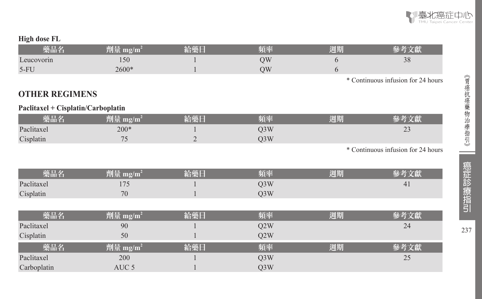

#### **High dose FL**

| 樂品名        |         | 陌恋 | 週期 |                                   |
|------------|---------|----|----|-----------------------------------|
| Leucovorin | 150     | УC |    | $\mathcal{D}^{\circlearrowright}$ |
| 5-FU       | $2600*$ | )W |    |                                   |

\* Continuous infusion for 24 hours

#### **OTHER REGIMENS**

#### **Paclitaxel + Cisplatin/Carboplatin**

| 樂品名        |              | <b>TANA BEL</b> | 陌恋  | 週期 |    |
|------------|--------------|-----------------|-----|----|----|
| Paclitaxel | $200*$       |                 | )3W |    | رے |
| Cisplatin  | $\sim$<br>-- | -               | J3W |    |    |

\* Continuous infusion for 24 hours

| <b>TELE</b> | m                        | 頻率  | रतर<br>调期 |              |
|-------------|--------------------------|-----|-----------|--------------|
| Paclitaxel  | $\overline{\phantom{a}}$ | O3W |           | 4<br>$\cdot$ |
| Cisplatin   | 70                       | O3W |           |              |

| 藥品名         | 劑量 mg/m <sup>2</sup> | 給藥日 | 頻率               | 週期 | 參考文獻 |
|-------------|----------------------|-----|------------------|----|------|
| Paclitaxel  | 90                   |     | Q2W              |    | 24   |
| Cisplatin   | 50                   |     | O2W              |    |      |
| 藥品名         | 劑量 mg/m <sup>2</sup> | 給藥日 | 頻率               | 週期 |      |
| Paclitaxel  | 200                  |     | Q <sub>3</sub> W |    | 25   |
| Carboplatin | AUC 5                |     | O <sub>3</sub> W |    |      |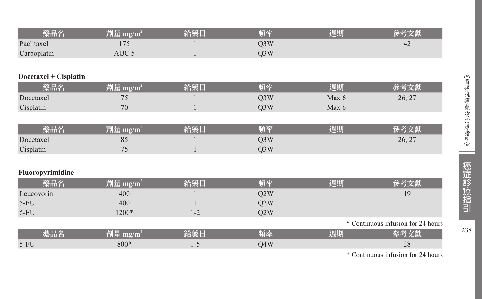| 藥品名         | 劑量 mg/m <sup>2</sup> | 給藥日 | 頻率  | 週期 | $-45 - 24 - 160$ |
|-------------|----------------------|-----|-----|----|------------------|
| Paclitaxel  |                      |     | J3W |    | 42               |
| Carboplatin | AUC :                |     | J3W |    |                  |

#### **Docetaxel + Cisplatin**

| 樂品名       | $\mathbf{m}\mathbf{g}/\mathbf{m}$ | 必藏厂 | 百來  | 週期    |        |
|-----------|-----------------------------------|-----|-----|-------|--------|
| Docetaxel |                                   |     | )3W | Max ( | 26, 27 |
| Cisplatin | 70                                |     | 3W  | Max ( |        |
|           |                                   |     |     |       |        |

| 樂品名       | 劑量 mg/m <sup>4</sup>     | 給藥日 | 頻率  | 週期 | <b>赵老立</b> 曾 |
|-----------|--------------------------|-----|-----|----|--------------|
| Docetaxel | o.                       |     | O3W |    | 26, 27       |
| Cisplatin | $\overline{\phantom{a}}$ |     | J3W |    |              |

#### **Fluoropyrimidine**

| 藥品名        | 劑量 mg/m <sup>2</sup> | 給藥日 | 頻率  | 週期 | 《考文獻                               |
|------------|----------------------|-----|-----|----|------------------------------------|
| Leucovorin | 400                  |     | Q2W |    | 19                                 |
| $5-FU$     | 400                  |     | Q2W |    |                                    |
| $5-FU$     | 1200*                | 1-2 | O2W |    |                                    |
|            |                      |     |     |    | * Continuous infusion for 24 hours |
| 藥品名        | 劑量 mg/m <sup>2</sup> | 給藥日 | 頻率  | 週期 | *考文獻                               |
| $5-FU$     | $800*$               | 1-5 | O4W |    | 28                                 |

\* Continuous infusion for 24 hours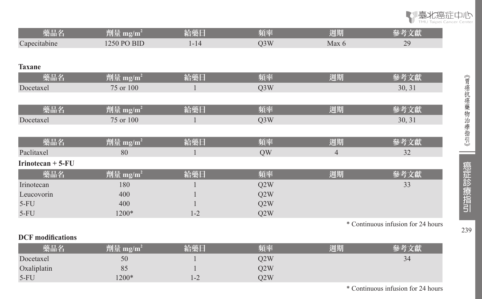

| 藥品名                      |                      | 給藥日      | 頻率  |                | 參考文獻                               |
|--------------------------|----------------------|----------|-----|----------------|------------------------------------|
|                          | 劑量 mg/m <sup>2</sup> |          |     | 週期             |                                    |
| Capecitabine             | 1250 PO BID          | $1 - 14$ | Q3W | Max 6          | 29                                 |
|                          |                      |          |     |                |                                    |
| <b>Taxane</b>            |                      |          |     |                |                                    |
| 藥品名                      | 劑量 mg/m <sup>2</sup> | 給藥日      | 頻率  | 週期             | 參考文獻                               |
| Docetaxel                | 75 or 100            | 1        | Q3W |                | 30, 31                             |
|                          |                      |          |     |                |                                    |
| 藥品名                      | 劑量 mg/m <sup>2</sup> | 給藥日      | 頻率  | 週期             | 參考文獻                               |
| Docetaxel                | 75 or 100            | 1        | Q3W |                | 30, 31                             |
|                          |                      |          |     |                |                                    |
| 藥品名                      | 劑量 mg/m <sup>2</sup> | 給藥日      | 頻率  | 週期             | 參考文獻                               |
| Paclitaxel               | 80                   |          | QW  | $\overline{4}$ | 32                                 |
| Irinotecan $+5$ - $FU$   |                      |          |     |                |                                    |
| 藥品名                      | 劑量 mg/m <sup>2</sup> | 給藥日      | 頻率  | 週期             | 參考文獻                               |
| Irinotecan               | 180                  |          | Q2W |                | 33                                 |
| Leucovorin               | 400                  |          | Q2W |                |                                    |
| $5-FU$                   | 400                  |          | Q2W |                |                                    |
| $5-FU$                   | 1200*                | $1 - 2$  | Q2W |                |                                    |
|                          |                      |          |     |                | * Continuous infusion for 24 hours |
| <b>DCF</b> modifications |                      |          |     |                |                                    |
| 藥品名                      | 劑量 mg/m <sup>2</sup> | 給藥日      | 頻率  | 週期             | 參考文獻                               |
| Docetaxel                | 50                   |          | Q2W |                | 34                                 |

 $\begin{array}{ccccc}\n1 & & & Q2W \\
1-2 & & & Q2W\n\end{array}$ 

Oxaliplatin 85<br>5-FU 1200\*

5-FU 1200\* 1-2 Q2W

\* Continuous infusion for 24 hours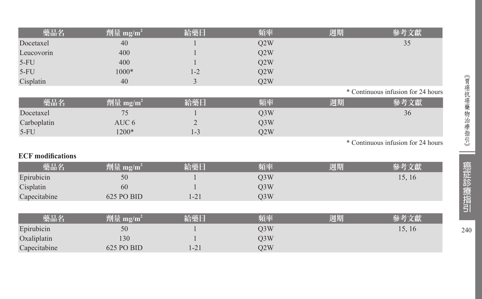| 藥品名                      | 劑量 mg/m <sup>2</sup> | 給藥日            | 頻率               | 週期 | 參考文獻                               |
|--------------------------|----------------------|----------------|------------------|----|------------------------------------|
| Docetaxel                | 40                   |                | Q2W              |    | 35                                 |
| Leucovorin               | 400                  |                | Q2W              |    |                                    |
| $5-FU$                   | 400                  |                | Q2W              |    |                                    |
| $5-FU$                   | $1000*$              | $1 - 2$        | Q2W              |    |                                    |
| Cisplatin                | 40                   | 3              | Q2W              |    |                                    |
|                          |                      |                |                  |    | * Continuous infusion for 24 hours |
| 藥品名                      | 劑量 mg/m $^2$         | 給藥日            | 頻率               | 週期 | 參考文獻                               |
| Docetaxel                | 75                   |                | Q <sub>3</sub> W |    | 36                                 |
| Carboplatin              | AUC <sub>6</sub>     | $\overline{2}$ | Q3W              |    |                                    |
| $5-FU$                   | 1200*                | $1 - 3$        | Q <sub>2</sub> W |    |                                    |
|                          |                      |                |                  |    | * Continuous infusion for 24 hours |
| <b>ECF</b> modifications |                      |                |                  |    |                                    |
| 藥品名                      | 劑量 mg/m <sup>2</sup> | 給藥日            | 頻率               | 週期 | 參考文獻                               |
| Epirubicin               | 50                   |                | Q3W              |    | 15, 16                             |
| Cisplatin                | 60                   |                | Q3W              |    |                                    |
| Capecitabine             | 625 PO BID           | $1 - 21$       | Q3W              |    |                                    |
|                          |                      |                |                  |    |                                    |
| 藥品名                      | 劑量 mg/m <sup>2</sup> | 給藥日            | 頻率               | 週期 | 參考文獻                               |
| Epirubicin               | 50                   |                | Q3W              |    | 15, 16                             |
| Oxaliplatin              | 130                  |                | Q3W              |    |                                    |
| Capecitabine             | 625 PO BID           | $1 - 21$       | Q2W              |    |                                    |

--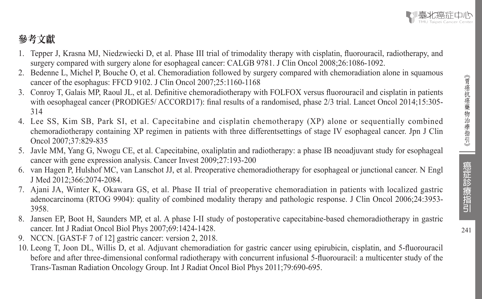$241$ 

# 參考文獻

- 1. Tepper J, Krasna MJ, Niedzwiecki D, et al. Phase III trial of trimodality therapy with cisplatin, fluorouracil, radiotherapy, and surgery compared with surgery alone for esophageal cancer: CALGB 9781. J Clin Oncol 2008;26:1086-1092.
- 2. Bedenne L, Michel P, Bouche O, et al. Chemoradiation followed by surgery compared with chemoradiation alone in squamous cancer of the esophagus: FFCD 9102. J Clin Oncol 2007;25:1160-1168
- 3. Conroy T, Galais MP, Raoul JL, et al. Definitive chemoradiotherapy with FOLFOX versus fluorouracil and cisplatin in patients with oesophageal cancer (PRODIGE5/ ACCORD17): final results of a randomised, phase 2/3 trial. Lancet Oncol 2014;15:305-314
- 4. Lee SS, Kim SB, Park SI, et al. Capecitabine and cisplatin chemotherapy (XP) alone or sequentially combined chemoradiotherapy containing XP regimen in patients with three differentsettings of stage IV esophageal cancer. Jpn J Clin Oncol 2007;37:829-835
- 5. Javle MM, Yang G, Nwogu CE, et al. Capecitabine, oxaliplatin and radiotherapy: a phase IB neoadjuvant study for esophageal cancer with gene expression analysis. Cancer Invest 2009;27:193-200
- 6. van Hagen P, Hulshof MC, van Lanschot JJ, et al. Preoperative chemoradiotherapy for esophageal or junctional cancer. N Engl J Med 2012;366:2074-2084.
- 7. Ajani JA, Winter K, Okawara GS, et al. Phase II trial of preoperative chemoradiation in patients with localized gastric adenocarcinoma (RTOG 9904): quality of combined modality therapy and pathologic response. J Clin Oncol 2006;24:3953- 3958.
- 8. Jansen EP, Boot H, Saunders MP, et al. A phase I-II study of postoperative capecitabine-based chemoradiotherapy in gastric cancer. Int J Radiat Oncol Biol Phys 2007;69:1424-1428.
- 9. NCCN. [GAST-F 7 of 12] gastric cancer: version 2, 2018.
- 10. Leong T, Joon DL, Willis D, et al. Adjuvant chemoradiation for gastric cancer using epirubicin, cisplatin, and 5-fluorouracil before and after three-dimensional conformal radiotherapy with concurrent infusional 5-fluorouracil: a multicenter study of the Trans-Tasman Radiation Oncology Group. Int J Radiat Oncol Biol Phys 2011;79:690-695.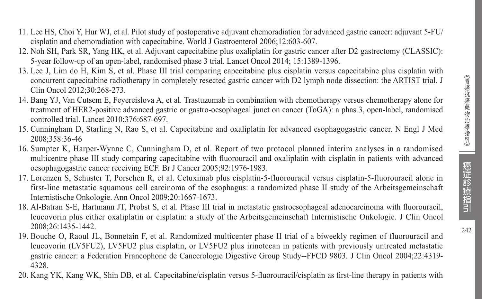- 11. Lee HS, Choi Y, Hur WJ, et al. Pilot study of postoperative adjuvant chemoradiation for advanced gastric cancer: adjuvant 5-FU/ cisplatin and chemoradiation with capecitabine. World J Gastroenterol 2006;12:603-607.
- 12. Noh SH, Park SR, Yang HK, et al. Adjuvant capecitabine plus oxaliplatin for gastric cancer after D2 gastrectomy (CLASSIC): 5-year follow-up of an open-label, randomised phase 3 trial. Lancet Oncol 2014; 15:1389-1396.
- 13. Lee J, Lim do H, Kim S, et al. Phase III trial comparing capecitabine plus cisplatin versus capecitabine plus cisplatin with concurrent capecitabine radiotherapy in completely resected gastric cancer with D2 lymph node dissection: the ARTIST trial. J Clin Oncol 2012;30:268-273.
- 14. Bang YJ, Van Cutsem E, Feyereislova A, et al. Trastuzumab in combination with chemotherapy versus chemotherapy alone for treatment of HER2-positive advanced gastric or gastro-oesophageal junct on cancer (ToGA): a phas 3, open-label, randomised controlled trial. Lancet 2010;376:687-697.
- 15. Cunningham D, Starling N, Rao S, et al. Capecitabine and oxaliplatin for advanced esophagogastric cancer. N Engl J Med 2008;358:36-46
- 16. Sumpter K, Harper-Wynne C, Cunningham D, et al. Report of two protocol planned interim analyses in a randomised multicentre phase III study comparing capecitabine with fluorouracil and oxaliplatin with cisplatin in patients with advanced oesophagogastric cancer receiving ECF. Br J Cancer 2005;92:1976-1983.
- 17. Lorenzen S, Schuster T, Porschen R, et al. Cetuximab plus cisplatin-5-fluorouracil versus cisplatin-5-fluorouracil alone in first-line metastatic squamous cell carcinoma of the esophagus: a randomized phase II study of the Arbeitsgemeinschaft Internistische Onkologie. Ann Oncol 2009;20:1667-1673.
- 18. Al-Batran S-E, Hartmann JT, Probst S, et al. Phase III trial in metastatic gastroesophageal adenocarcinoma with fluorouracil, leucovorin plus either oxaliplatin or cisplatin: a study of the Arbeitsgemeinschaft Internistische Onkologie. J Clin Oncol 2008;26:1435-1442.
- 19. Bouche O, Raoul JL, Bonnetain F, et al. Randomized multicenter phase II trial of a biweekly regimen of fluorouracil and leucovorin (LV5FU2), LV5FU2 plus cisplatin, or LV5FU2 plus irinotecan in patients with previously untreated metastatic gastric cancer: a Federation Francophone de Cancerologie Digestive Group Study--FFCD 9803. J Clin Oncol 2004;22:4319- 4328.
- 20. Kang YK, Kang WK, Shin DB, et al. Capecitabine/cisplatin versus 5-fluorouracil/cisplatin as first-line therapy in patients with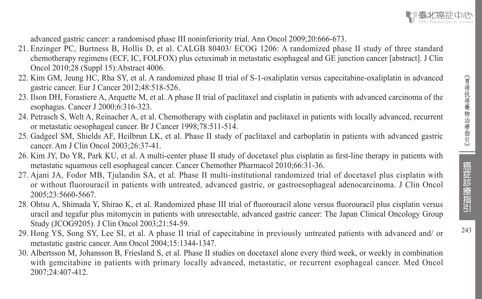advanced gastric cancer: a randomised phase III noninferiority trial. Ann Oncol 2009;20:666-673.

- 21. Enzinger PC, Burtness B, Hollis D, et al. CALGB 80403/ ECOG 1206: A randomized phase II study of three standard chemotherapy regimens (ECF, IC, FOLFOX) plus cetuximab in metastatic esophageal and GE junction cancer [abstract]. J Clin Oncol 2010;28 (Suppl 15):Abstract 4006.
- 22. Kim GM, Jeung HC, Rha SY, et al. A randomized phase II trial of S-1-oxaliplatin versus capecitabine-oxaliplatin in advanced gastric cancer. Eur J Cancer 2012;48:518-526.
- 23. Ilson DH, Forastiere A, Arquette M, et al. A phase II trial of paclitaxel and cisplatin in patients with advanced carcinoma of the esophagus. Cancer J 2000;6:316-323.
- 24. Petrasch S, Welt A, Reinacher A, et al. Chemotherapy with cisplatin and paclitaxel in patients with locally advanced, recurrent or metastatic oesophageal cancer. Br J Cancer 1998;78:511-514.
- 25. Gadgeel SM, Shields AF, Heilbrun LK, et al. Phase II study of paclitaxel and carboplatin in patients with advanced gastric cancer. Am J Clin Oncol 2003;26:37-41.
- 26. Kim JY, Do YR, Park KU, et al. A multi-center phase II study of docetaxel plus cisplatin as first-line therapy in patients with metastatic squamous cell esophageal cancer. Cancer Chemother Pharmacol 2010;66:31-36.
- 27. Ajani JA, Fodor MB, Tjulandin SA, et al. Phase II multi-institutional randomized trial of docetaxel plus cisplatin with or without fluorouracil in patients with untreated, advanced gastric, or gastroesophageal adenocarcinoma. J Clin Oncol 2005;23:5660-5667.
- 28. Ohtsu A, Shimada Y, Shirao K, et al. Randomized phase III trial of fluorouracil alone versus fluorouracil plus cisplatin versus uracil and tegafur plus mitomycin in patients with unresectable, advanced gastric cancer: The Japan Clinical Oncology Group Study (JCOG9205). J Clin Oncol 2003;21:54-59.
- 29. Hong YS, Song SY, Lee SI, et al. A phase II trial of capecitabine in previously untreated patients with advanced and/ or metastatic gastric cancer. Ann Oncol 2004;15:1344-1347.
- 30. Albertsson M, Johansson B, Friesland S, et al. Phase II studies on docetaxel alone every third week, or weekly in combination with gemcitabine in patients with primary locally advanced, metastatic, or recurrent esophageal cancer. Med Oncol 2007;24:407-412.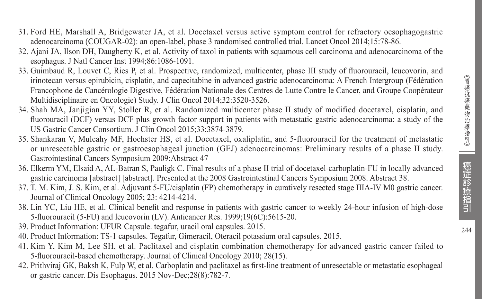- 31. Ford HE, Marshall A, Bridgewater JA, et al. Docetaxel versus active symptom control for refractory oesophagogastric adenocarcinoma (COUGAR-02): an open-label, phase 3 randomised controlled trial. Lancet Oncol 2014;15:78-86.
- 32. Ajani JA, Ilson DH, Daugherty K, et al. Activity of taxol in patients with squamous cell carcinoma and adenocarcinoma of the esophagus. J Natl Cancer Inst 1994;86:1086-1091.
- 33. Guimbaud R, Louvet C, Ries P, et al. Prospective, randomized, multicenter, phase III study of fluorouracil, leucovorin, and irinotecan versus epirubicin, cisplatin, and capecitabine in advanced gastric adenocarcinoma: A French Intergroup (Fédération Francophone de Cancérologie Digestive, Fédération Nationale des Centres de Lutte Contre le Cancer, and Groupe Coopérateur Multidisciplinaire en Oncologie) Study. J Clin Oncol 2014;32:3520-3526.
- 34. Shah MA, Janjigian YY, Stoller R, et al. Randomized multicenter phase II study of modified docetaxel, cisplatin, and fluorouracil (DCF) versus DCF plus growth factor support in patients with metastatic gastric adenocarcinoma: a study of the US Gastric Cancer Consortium. J Clin Oncol 2015;33:3874-3879.
- 35. Shankaran V, Mulcahy MF, Hochster HS, et al. Docetaxel, oxaliplatin, and 5-fluorouracil for the treatment of metastatic or unresectable gastric or gastroesophageal junction (GEJ) adenocarcinomas: Preliminary results of a phase II study. Gastrointestinal Cancers Symposium 2009:Abstract 47
- 36. Elkerm YM, Elsaid A, AL-Batran S, Pauligk C. Final results of a phase II trial of docetaxel-carboplatin-FU in locally advanced gastric carcinoma [abstract] [abstract]. Presented at the 2008 Gastrointestinal Cancers Symposium 2008. Abstract 38.
- 37. T. M. Kim, J. S. Kim, et al. Adjuvant 5-FU/cisplatin (FP) chemotherapy in curatively resected stage IIIA-IV M0 gastric cancer. Journal of Clinical Oncology 2005; 23: 4214-4214.
- 38. Lin YC, Liu HE, et al. Clinical benefit and response in patients with gastric cancer to weekly 24-hour infusion of high-dose 5-fluorouracil (5-FU) and leucovorin (LV). Anticancer Res. 1999;19(6C):5615-20.
- 39. Product Information: UFUR Capsule. tegafur, uracil oral capsules. 2015.
- 40. Product Information: TS-1 capsules. Tegafur, Gimeracil, Oteracil potassium oral capsules. 2015.
- 41. Kim Y, Kim M, Lee SH, et al. Paclitaxel and cisplatin combination chemotherapy for advanced gastric cancer failed to 5-fluorouracil-based chemotherapy. Journal of Clinical Oncology 2010; 28(15).
- 42. Prithviraj GK, Baksh K, Fulp W, et al. Carboplatin and paclitaxel as first-line treatment of unresectable or metastatic esophageal or gastric cancer. Dis Esophagus. 2015 Nov-Dec;28(8):782-7.